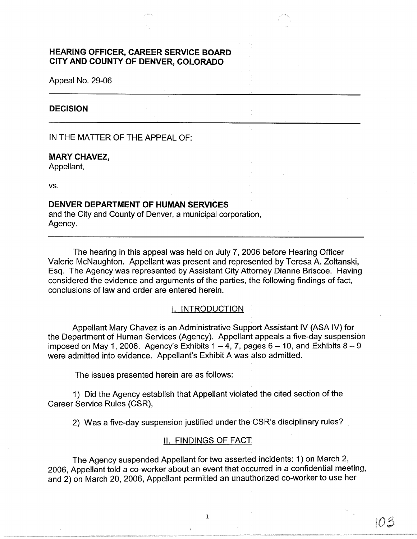# **HEARING OFFICER, CAREER SERVICE BOARD CITY AND COUNTY OF DENVER, COLORADO**

Appeal No. 29-06

# **DECISION**

IN THE MATTER OF THE APPEAL OF:

# **MARY CHAVEZ,**

Appellant,

vs.

# **DENVER DEPARTMENT OF HUMAN SERVICES**

and the City and County of Denver, a municipal corporation, Agency.

The hearing in this appeal was held on July 7, 2006 before Hearing Officer Valerie McNaughton. Appellant was present and represented by Teresa A. Zoltanski, Esq. The Agency was represented by Assistant City Attorney Dianne Briscoe. Having considered the evidence and arguments of the parties, the following findings of fact, conclusions of law and order are entered herein.

# I. INTRODUCTION

Appellant Mary Chavez is an Administrative Support Assistant IV (ASA IV) for the Department of Human Services (Agency). Appellant appeals a five-day suspension imposed on May 1, 2006. Agency's Exhibits  $1 - 4$ , 7, pages  $6 - 10$ , and Exhibits  $8 - 9$ were admitted into evidence. Appellant's Exhibit A was also admitted.

The issues presented herein are as follows:

1) Did the Agency establish that Appellant violated the cited section of the Career Service Rules (CSR),

2) Was a five-day suspension justified under the CSR's disciplinary rules?

# II. FINDINGS OF FACT

The Agency suspended Appellant for two asserted incidents: 1) on March 2, 2006, Appellant told a co-worker about an event that occurred in a confidential meeting, and 2) on March 20, 2006, Appellant permitted an unauthorized co-worker to use her

103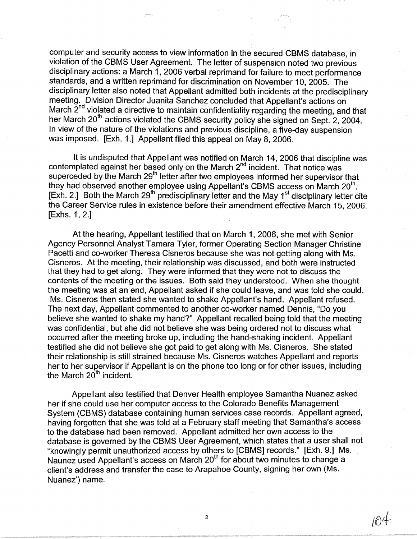computer and security access to view information in the secured CBMS database, in violation of the CBMS User Agreement. The letter of suspension noted two previous disciplinary actions: a March 1, 2006 verbal reprimand for failure to meet performance standards, and a written reprimand for discrimination on November 10, 2005. The disciplinary letter also noted that Appellant admitted both incidents at the predisciplinary meeting. Division Director Juanita Sanchez concluded that Appellant's actions on March  $2<sup>nd</sup>$  violated a directive to maintain confidentiality regarding the meeting, and that her March 20<sup>th</sup> actions violated the CBMS security policy she signed on Sept. 2, 2004. In view of the nature of the violations and previous discipline, a five-day suspension was imposed. [Exh. 1.] Appellant filed this appeal on May 8, 2006.

It is undisputed that Appellant was notified on March 14, 2006 that discipline was contemplated against her based only on the March  $2^{nd}$  incident. That notice was superceded by the March 29<sup>th</sup> letter after two employees informed her supervisor that they had observed another employee using Appellant's CBMS access on March  $20<sup>th</sup>$ . Exh. 2.] Both the March 29<sup>th</sup> predisciplinary letter and the May 1<sup>st</sup> disciplinary letter cite the Career Service rules in existence before their amendment effective March 15, 2006. [Exhs. 1, 2.]

At the hearing, Appellant testified that on March 1, 2006, she met with Senior Agency Personnel Analyst Tamara Tyler, former Operating Section Manager Christine Pacetti and co-worker Theresa Cisneros because she was not getting along with Ms. Cisneros. At the meeting, their relationship was discussed, and both were instructed that they had to get along. They were informed that they were not to discuss the contents of the meeting or the issues. Both said they understood. When she thought the meeting was at an end, Appellant asked if she could leave, and was told she could. Ms. Cisneros then stated she wanted to shake Appellant's hand. Appellant refused. The next day, Appellant commented to another co-worker named Dennis, "Do you believe she wanted to shake my hand?" Appellant recalled being told that the meeting was confidential, but she did not believe she was being ordered not to discuss what occurred after the meeting broke up, including the hand-shaking incident. Appellant testified she did not believe she got paid to get along with Ms. Cisneros. She stated their relationship is still strained because Ms. Cisneros watches Appellant and reports her to her supervisor if Appellant is on the phone too long or for other issues, including the March  $20<sup>th</sup>$  incident.

Appellant also testified that Denver Health employee Samantha Nuanez asked her if she could use her computer access to the Colorado Benefits Management System (CBMS) database containing human services case records. Appellant agreed, having forgotten that she was told at a February staff meeting that Samantha's access to the database had been removed. Appellant admitted her own access to the database is governed by the CBMS User Agreement, which states that a user shall not "knowingly permit unauthorized access by others to [CBMS] records." [Exh. 9.] Ms. Naunez used Appellant's access on March 20<sup>th</sup> for about two minutes to change a client's address and transfer the case to Arapahoe County, signing her own (Ms. Nuanez') name.

2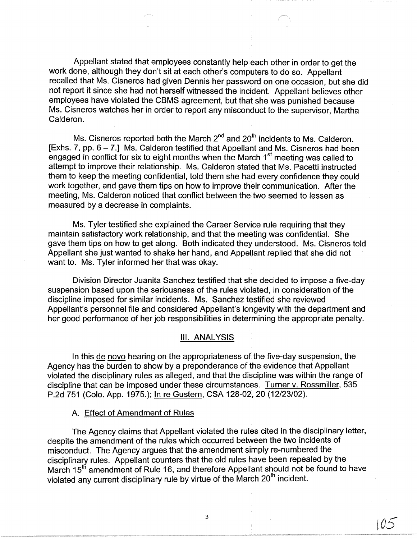Appellant stated that employees constantly help each other in order to get the work done, although they don't sit at each other's computers to do so. Appellant recalled that Ms. Cisneros had given Dennis her password on one occasion, but she did not report it since she had not herself witnessed the incident. Appellant believes other employees have violated the CBMS agreement, but that she was punished because Ms. Cisneros watches her in order to report any misconduct to the supervisor, Martha Calderon.

Ms. Cisneros reported both the March  $2^{nd}$  and  $20^{th}$  incidents to Ms. Calderon. [Exhs. 7, pp.  $6 - 7$ .] Ms. Calderon testified that Appellant and Ms. Cisneros had been engaged in conflict for six to eight months when the March  $1<sup>st</sup>$  meeting was called to attempt to improve their relationship. Ms. Calderon stated that Ms. Pacetti instructed them to keep the meeting confidential, told them she had every confidence they could work together, and gave them tips on how to improve their communication. After the meeting, Ms. Calderon noticed that conflict between the two seemed to lessen as measured by a decrease in complaints.

Ms. Tyler testified she explained the Career Service rule requiring that they maintain satisfactory work relationship, and that the meeting was confidential. She gave them tips on how to get along. Both indicated they understood. Ms. Cisneros told Appellant she just wanted to shake her hand, and Appellant replied that she did not want to. Ms. Tyler informed her that was okay.

Division Director Juanita Sanchez testified that she decided to impose a five-day suspension based upon the seriousness of the rules violated, in consideration of the discipline imposed for similar incidents. Ms. Sanchez testified she reviewed Appellant's personnel file and considered Appellant's longevity with the department and her good performance of her job responsibilities in determining the appropriate penalty.

#### Ill. **ANALYSIS**

In this de novo hearing on the appropriateness of the five-day suspension, the Agency has the burden to show by a preponderance of the evidence that Appellant violated the disciplinary rules as alleged, and that the discipline was within the range of discipline that can be imposed under these circumstances. Turner v. Rossmiller, 535 P.2d 751 (Colo. App. 1975.); In re Gustern, CSA 128-02, 20 (12/23/02).

### A. Effect of Amendment of Rules

The Agency claims that Appellant violated the rules cited in the disciplinary letter, despite the amendment of the rules which occurred between the two incidents of misconduct. The Agency argues that the amendment simply re-numbered the disciplinary rules. Appellant counters that the old rules have been repealed by the March 15<sup>th</sup> amendment of Rule 16, and therefore Appellant should not be found to have violated any current disciplinary rule by virtue of the March 20<sup>th</sup> incident.

 $105$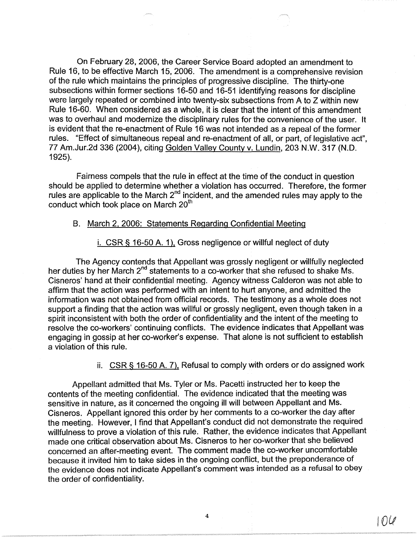On February 28, 2006, the Career Service Board adopted an amendment to Rule 16, to be effective March 15, 2006. The amendment is a comprehensive revision of the rule which maintains the principles of progressive discipline. The thirty-one subsections within former sections 16-50 and 16-51 identifying reasons for discipline were largely repeated or combined into twenty-six subsections from A to Z within new Rule 16-60. When considered as a whole, it is clear that the intent of this amendment was to overhaul and modernize the disciplinary rules for the convenience of the user. It is evident that the re-enactment of Rule 16 was not intended as a repeal of the former rules. "Effect of simultaneous repeal and re-enactment of all, or part, of legislative act", 77 Am.Jur.2d 336 (2004), citing Golden Valley County v. Lundin, 203 N.W. 317 (N.D. 1925).

Fairness compels that the rule in effect at the time of the conduct in question should be applied to determine whether a violation has occurred. Therefore, the former rules are applicable to the March  $2^{nd}$  incident, and the amended rules may apply to the conduct which took place on March 20<sup>th</sup>

### B. March 2. 2006: Statements Regarding Confidential Meeting

i. CSR § 16-50 A. 1 ). Gross negligence or willful neglect of duty

The Agency contends that Appellant was grossly negligent or willfully neglected her duties by her March 2<sup>nd</sup> statements to a co-worker that she refused to shake Ms. Cisneros' hand at their confidential meeting. Agency witness Calderon was not able to affirm that the action was performed with an intent to hurt anyone, and admitted the information was not obtained from official records. The testimony as a whole does not support a finding that the action was willful or grossly negligent, even though taken in a spirit inconsistent with both the order of confidentiality and the intent of the meeting to resolve the co-workers' continuing conflicts. The evidence indicates that Appellant was engaging in gossip at her co-worker's expense. That alone is not sufficient to establish a violation of this rule.

ii. CSR § 16-50 A. 7), Refusal to comply with orders or do assigned work

Appellant admitted that Ms. Tyler or Ms. Pacetti instructed her to keep the contents of the meeting confidential. The evidence indicated that the meeting was sensitive in nature, as it concerned the ongoing ill will between Appellant and Ms. Cisneros. Appellant ignored this order by her comments to a co-worker the day after the meeting. However, I find that Appellant's conduct did not demonstrate the required willfulness to prove a violation of this rule. Rather, the evidence indicates that Appellant made one critical observation about Ms. Cisneros to her co-worker that she believed concerned an after-meeting event. The comment made the co-worker uncomfortable because it invited him to take sides in the ongoing conflict, but the preponderance of the evidence does not indicate Appellant's comment was intended as a refusal to obey the order of confidentiality.

4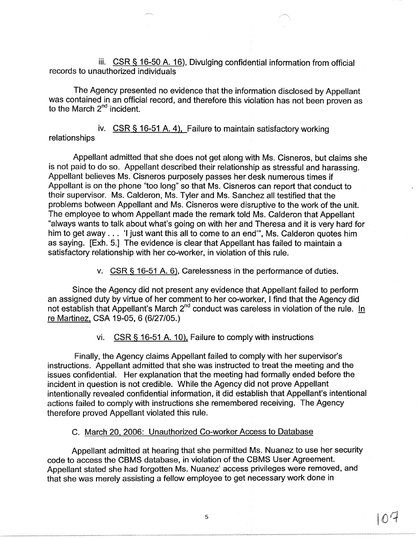iii.  $CSR S$  16-50 A. 16), Divulging confidential information from official records to unauthorized individuals

The Agency presented no evidence that the information disclosed by Appellant was contained in an official record, and therefore this violation has not been proven as to the March  $2^{nd}$  incident.

iv. CSR § 16-51 A. 4), Failure to maintain satisfactory working relationships

Appellant admitted that she does not get along with Ms. Cisneros, but claims she is not paid to do so. Appellant described their relationship as stressful and harassing. Appellant believes Ms. Cisneros purposely passes her desk numerous times if Appellant is on the phone "too long" so that Ms. Cisneros can report that conduct to their supervisor. Ms. Calderon, Ms. Tyler and Ms. Sanchez all testified that the problems between Appellant and Ms. Cisneros were disruptive to the work of the unit. The employee to whom Appellant made the remark told Ms. Calderon that Appellant "always wants to talk about what's going on with her and Theresa and it is very hard for him to get away . . . 'I just want this all to come to an end", Ms. Calderon quotes him as saying. [Exh. 5.] The evidence is clear that Appellant has failed to maintain a satisfactory relationship with her co-worker, in violation of this rule.

v. CSR § 16-51 A. 6), Carelessness in the performance of duties.

Since the Agency did not present any evidence that Appellant failed to perform an assigned duty by virtue of her comment to her co-worker, I find that the Agency did not establish that Appellant's March 2<sup>nd</sup> conduct was careless in violation of the rule. In re Martinez, CSA 19-05, 6 (6/27/05.)

vi. CSR § 16-51 A. 10), Failure to comply with instructions

Finally, the Agency claims Appellant failed to comply with her supervisor's instructions. Appellant admitted that she was instructed to treat the meeting and the issues confidential. Her explanation that the meeting had formally ended before the incident in question is not credible. While the Agency did not prove Appellant intentionally revealed confidential information, it did establish that Appellant's intentional actions failed to comply with instructions she remembered receiving. The Agency therefore proved Appellant violated this rule.

### C. March 20, 2006: Unauthorized Co-worker Access to Database

Appellant admitted at hearing that she permitted Ms. Nuanez to use her security code to access the CBMS database, in violation of the CBMS User Agreement. Appellant stated she had forgotten Ms. Nuanez' access privileges were removed, and that she was merely assisting a fellow employee to get necessary work done in

07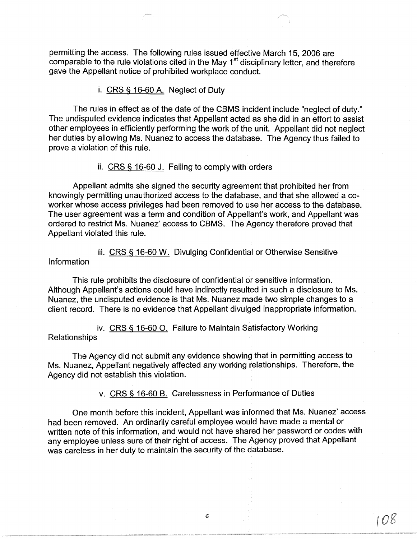permitting the access. The following rules issued effective March 15, 2006 are comparable to the rule violations cited in the May 1<sup>st</sup> disciplinary letter, and therefore gave the Appellant notice of prohibited workplace conduct.

i. CRS § 16-60 A. Neglect of Duty

The rules in effect as of the date of the CBMS incident include "neglect of duty." The undisputed evidence indicates that Appellant acted as she did in an effort to assist other employees in efficiently performing the work of the unit. Appellant did not neglect her duties by allowing Ms. Nuanez to access the database. The Agency thus failed to prove a violation of this rule.

ii. CRS § 16-60 J. Failing to comply with orders

Appellant admits she signed the security agreement that prohibited her from knowingly permitting unauthorized access to the database, and that she allowed a coworker whose access privileges had been removed to use her access to the database. The user agreement was a term and condition of Appellant's work, and Appellant was ordered to restrict Ms. Nuanez' access to CBMS. The Agency therefore proved that Appellant violated this rule.

iii. CRS § 16-60 W. Divulging Confidential or Otherwise Sensitive Information

This rule prohibits the disclosure of confidential or sensitive information. Although Appellant's actions could have indirectly resulted in such a disclosure to Ms. Nuanez, the undisputed evidence is that Ms. Nuanez made two simple changes to a client record. There is no evidence that Appellant divulged inappropriate information.

iv. CRS § 16-60 0. Failure to Maintain Satisfactory Working Relationships

The Agency did not submit any evidence showing that in permitting access to Ms. Nuanez, Appellant negatively affected any working relationships. Therefore, the Agency did not establish this violation.

v. CRS § 16-60 B. Carelessness in Performance of Duties

One month before this incident, Appellant was informed that Ms. Nuanez' access had been removed. An ordinarily careful employee would have made a mental or written note of this information, and would not have shared her password or codes with any employee unless sure of their right of access. The Agency proved that Appellant was careless in her duty to maintain the security of the database.